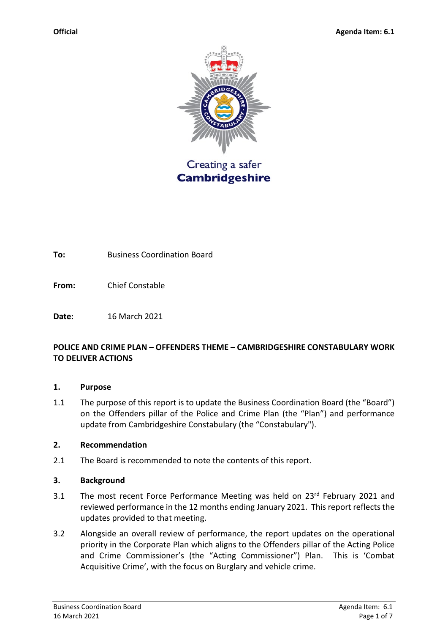

**To:** Business Coordination Board

**From:** Chief Constable

**Date:** 16 March 2021

#### **POLICE AND CRIME PLAN – OFFENDERS THEME – CAMBRIDGESHIRE CONSTABULARY WORK TO DELIVER ACTIONS**

#### **1. Purpose**

1.1 The purpose of this report is to update the Business Coordination Board (the "Board") on the Offenders pillar of the Police and Crime Plan (the "Plan") and performance update from Cambridgeshire Constabulary (the "Constabulary").

#### **2. Recommendation**

2.1 The Board is recommended to note the contents of this report.

#### **3. Background**

- 3.1 The most recent Force Performance Meeting was held on 23rd February 2021 and reviewed performance in the 12 months ending January 2021. This report reflects the updates provided to that meeting.
- 3.2 Alongside an overall review of performance, the report updates on the operational priority in the Corporate Plan which aligns to the Offenders pillar of the Acting Police and Crime Commissioner's (the "Acting Commissioner") Plan. This is 'Combat Acquisitive Crime', with the focus on Burglary and vehicle crime.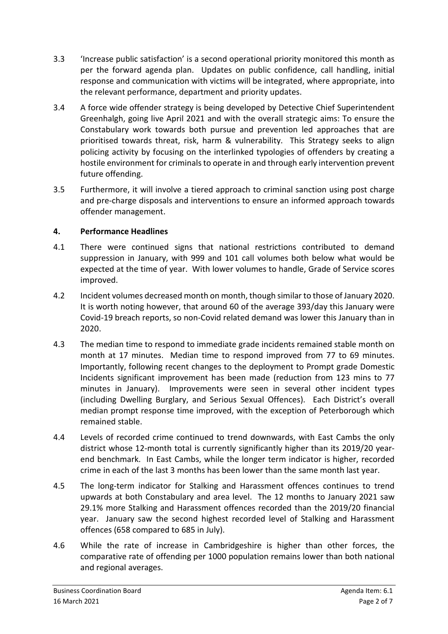- 3.3 'Increase public satisfaction' is a second operational priority monitored this month as per the forward agenda plan. Updates on public confidence, call handling, initial response and communication with victims will be integrated, where appropriate, into the relevant performance, department and priority updates.
- 3.4 A force wide offender strategy is being developed by Detective Chief Superintendent Greenhalgh, going live April 2021 and with the overall strategic aims: To ensure the Constabulary work towards both pursue and prevention led approaches that are prioritised towards threat, risk, harm & vulnerability. This Strategy seeks to align policing activity by focusing on the interlinked typologies of offenders by creating a hostile environment for criminals to operate in and through early intervention prevent future offending.
- 3.5 Furthermore, it will involve a tiered approach to criminal sanction using post charge and pre-charge disposals and interventions to ensure an informed approach towards offender management.

# **4. Performance Headlines**

- 4.1 There were continued signs that national restrictions contributed to demand suppression in January, with 999 and 101 call volumes both below what would be expected at the time of year. With lower volumes to handle, Grade of Service scores improved.
- 4.2 Incident volumes decreased month on month, though similar to those of January 2020. It is worth noting however, that around 60 of the average 393/day this January were Covid-19 breach reports, so non-Covid related demand was lower this January than in 2020.
- 4.3 The median time to respond to immediate grade incidents remained stable month on month at 17 minutes. Median time to respond improved from 77 to 69 minutes. Importantly, following recent changes to the deployment to Prompt grade Domestic Incidents significant improvement has been made (reduction from 123 mins to 77 minutes in January). Improvements were seen in several other incident types (including Dwelling Burglary, and Serious Sexual Offences). Each District's overall median prompt response time improved, with the exception of Peterborough which remained stable.
- 4.4 Levels of recorded crime continued to trend downwards, with East Cambs the only district whose 12-month total is currently significantly higher than its 2019/20 yearend benchmark. In East Cambs, while the longer term indicator is higher, recorded crime in each of the last 3 months has been lower than the same month last year.
- 4.5 The long-term indicator for Stalking and Harassment offences continues to trend upwards at both Constabulary and area level. The 12 months to January 2021 saw 29.1% more Stalking and Harassment offences recorded than the 2019/20 financial year. January saw the second highest recorded level of Stalking and Harassment offences (658 compared to 685 in July).
- 4.6 While the rate of increase in Cambridgeshire is higher than other forces, the comparative rate of offending per 1000 population remains lower than both national and regional averages.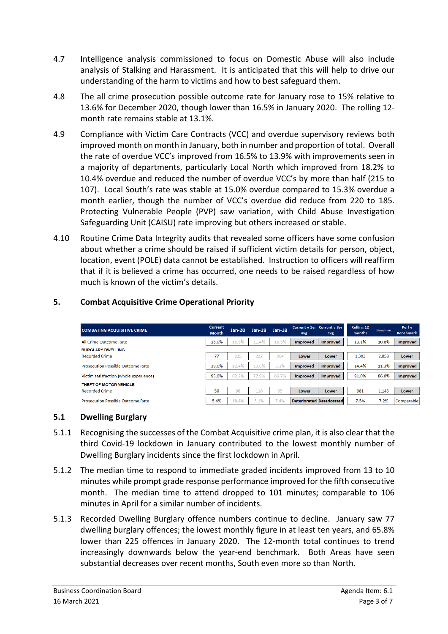- 4.7 Intelligence analysis commissioned to focus on Domestic Abuse will also include analysis of Stalking and Harassment. It is anticipated that this will help to drive our understanding of the harm to victims and how to best safeguard them.
- 4.8 The all crime prosecution possible outcome rate for January rose to 15% relative to 13.6% for December 2020, though lower than 16.5% in January 2020. The rolling 12 month rate remains stable at 13.1%.
- 4.9 Compliance with Victim Care Contracts (VCC) and overdue supervisory reviews both improved month on month in January, both in number and proportion of total. Overall the rate of overdue VCC's improved from 16.5% to 13.9% with improvements seen in a majority of departments, particularly Local North which improved from 18.2% to 10.4% overdue and reduced the number of overdue VCC's by more than half (215 to 107). Local South's rate was stable at 15.0% overdue compared to 15.3% overdue a month earlier, though the number of VCC's overdue did reduce from 220 to 185. Protecting Vulnerable People (PVP) saw variation, with Child Abuse Investigation Safeguarding Unit (CAISU) rate improving but others increased or stable.
- 4.10 Routine Crime Data Integrity audits that revealed some officers have some confusion about whether a crime should be raised if sufficient victim details for person, object, location, event (POLE) data cannot be established. Instruction to officers will reaffirm that if it is believed a crime has occurred, one needs to be raised regardless of how much is known of the victim's details.

### **5. Combat Acquisitive Crime Operational Priority**

| <b>COMBATING ACQUISITIVE CRIME</b>                | <b>Current</b><br><b>Month</b> | $Jan-20$ | $Jan-19$ | $Jan-18$ | Current v 1yr Current v 3yr<br>avg | avg             | Rolling 12<br>months | <b>Baseline</b> | Perf v<br><b>Benchmark</b> |
|---------------------------------------------------|--------------------------------|----------|----------|----------|------------------------------------|-----------------|----------------------|-----------------|----------------------------|
| All Crime Outcome Rate                            | 15.0%                          | 16.5%    | 11.4%    | 16.5%    | <b>Improved</b>                    | <b>Improved</b> | 13.1%                | 10.8%           | <b>Improved</b>            |
| <b>BURGLARY DWELLING</b><br><b>Recorded Crime</b> | 77                             | 225      | 222      | 264      | Lower                              | Lower           | 1,393                | 2,058           | Lower                      |
| <b>Prosecution Possible Outcome Rate</b>          | 39.0%                          | 12.4%    | 10.8%    | 6.1%     | <b>Improved</b>                    | <b>Improved</b> | 14.4%                | 11.3%           | <b>Improved</b>            |
| Victim satisfaction (whole experience)            | 95.0%                          | 82.2%    | 77.9%    | 86.7%    | <b>Improved</b>                    | Improved        | 91.0%                | 86.0%           | <b>Improved</b>            |
| THEFT OF MOTOR VEHICLE                            |                                |          |          |          |                                    |                 |                      |                 |                            |
| <b>Recorded Crime</b>                             | 56                             | 98       | 118      | 95       | Lower                              | Lower           | 981                  | 1,145           | Lower                      |
| <b>Prosecution Possible Outcome Rate</b>          | 5.4%                           | 18.4%    | 5.1%     | 7.4%     | <b>Deteriorated Deteriorated</b>   |                 | 7.5%                 | 7.2%            | Comparable                 |

### **5.1 Dwelling Burglary**

- 5.1.1 Recognising the successes of the Combat Acquisitive crime plan, it is also clear that the third Covid-19 lockdown in January contributed to the lowest monthly number of Dwelling Burglary incidents since the first lockdown in April.
- 5.1.2 The median time to respond to immediate graded incidents improved from 13 to 10 minutes while prompt grade response performance improved for the fifth consecutive month. The median time to attend dropped to 101 minutes; comparable to 106 minutes in April for a similar number of incidents.
- 5.1.3 Recorded Dwelling Burglary offence numbers continue to decline. January saw 77 dwelling burglary offences; the lowest monthly figure in at least ten years, and 65.8% lower than 225 offences in January 2020. The 12-month total continues to trend increasingly downwards below the year-end benchmark. Both Areas have seen substantial decreases over recent months, South even more so than North.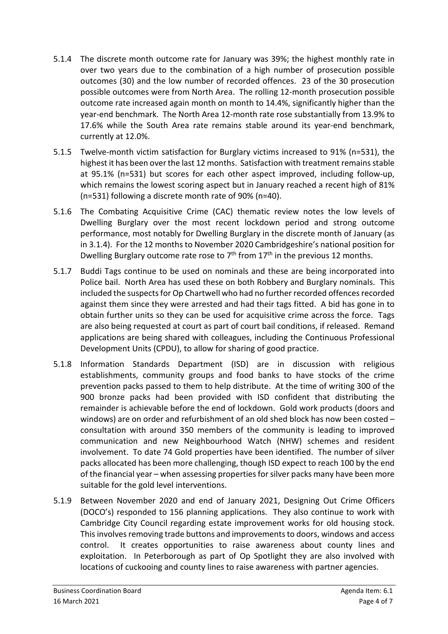- 5.1.4 The discrete month outcome rate for January was 39%; the highest monthly rate in over two years due to the combination of a high number of prosecution possible outcomes (30) and the low number of recorded offences. 23 of the 30 prosecution possible outcomes were from North Area. The rolling 12-month prosecution possible outcome rate increased again month on month to 14.4%, significantly higher than the year-end benchmark. The North Area 12-month rate rose substantially from 13.9% to 17.6% while the South Area rate remains stable around its year-end benchmark, currently at 12.0%.
- 5.1.5 Twelve-month victim satisfaction for Burglary victims increased to 91% (n=531), the highest it has been over the last 12 months. Satisfaction with treatment remains stable at 95.1% (n=531) but scores for each other aspect improved, including follow-up, which remains the lowest scoring aspect but in January reached a recent high of 81% (n=531) following a discrete month rate of 90% (n=40).
- 5.1.6 The Combating Acquisitive Crime (CAC) thematic review notes the low levels of Dwelling Burglary over the most recent lockdown period and strong outcome performance, most notably for Dwelling Burglary in the discrete month of January (as in 3.1.4). For the 12 months to November 2020 Cambridgeshire's national position for Dwelling Burglary outcome rate rose to  $7<sup>th</sup>$  from  $17<sup>th</sup>$  in the previous 12 months.
- 5.1.7 Buddi Tags continue to be used on nominals and these are being incorporated into Police bail. North Area has used these on both Robbery and Burglary nominals. This included the suspects for Op Chartwell who had no further recorded offences recorded against them since they were arrested and had their tags fitted. A bid has gone in to obtain further units so they can be used for acquisitive crime across the force. Tags are also being requested at court as part of court bail conditions, if released. Remand applications are being shared with colleagues, including the Continuous Professional Development Units (CPDU), to allow for sharing of good practice.
- 5.1.8 Information Standards Department (ISD) are in discussion with religious establishments, community groups and food banks to have stocks of the crime prevention packs passed to them to help distribute. At the time of writing 300 of the 900 bronze packs had been provided with ISD confident that distributing the remainder is achievable before the end of lockdown. Gold work products (doors and windows) are on order and refurbishment of an old shed block has now been costed – consultation with around 350 members of the community is leading to improved communication and new Neighbourhood Watch (NHW) schemes and resident involvement. To date 74 Gold properties have been identified. The number of silver packs allocated has been more challenging, though ISD expect to reach 100 by the end of the financial year – when assessing properties for silver packs many have been more suitable for the gold level interventions.
- 5.1.9 Between November 2020 and end of January 2021, Designing Out Crime Officers (DOCO's) responded to 156 planning applications. They also continue to work with Cambridge City Council regarding estate improvement works for old housing stock. This involves removing trade buttons and improvements to doors, windows and access control. It creates opportunities to raise awareness about county lines and exploitation. In Peterborough as part of Op Spotlight they are also involved with locations of cuckooing and county lines to raise awareness with partner agencies.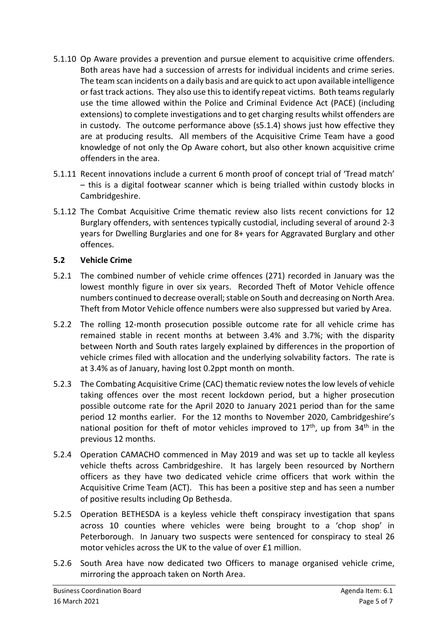- 5.1.10 Op Aware provides a prevention and pursue element to acquisitive crime offenders. Both areas have had a succession of arrests for individual incidents and crime series. The team scan incidents on a daily basis and are quick to act upon available intelligence or fast track actions. They also use this to identify repeat victims. Both teams regularly use the time allowed within the Police and Criminal Evidence Act (PACE) (including extensions) to complete investigations and to get charging results whilst offenders are in custody. The outcome performance above (s5.1.4) shows just how effective they are at producing results. All members of the Acquisitive Crime Team have a good knowledge of not only the Op Aware cohort, but also other known acquisitive crime offenders in the area.
- 5.1.11 Recent innovations include a current 6 month proof of concept trial of 'Tread match' – this is a digital footwear scanner which is being trialled within custody blocks in Cambridgeshire.
- 5.1.12 The Combat Acquisitive Crime thematic review also lists recent convictions for 12 Burglary offenders, with sentences typically custodial, including several of around 2-3 years for Dwelling Burglaries and one for 8+ years for Aggravated Burglary and other offences.

### **5.2 Vehicle Crime**

- 5.2.1 The combined number of vehicle crime offences (271) recorded in January was the lowest monthly figure in over six years. Recorded Theft of Motor Vehicle offence numbers continued to decrease overall; stable on South and decreasing on North Area. Theft from Motor Vehicle offence numbers were also suppressed but varied by Area.
- 5.2.2 The rolling 12-month prosecution possible outcome rate for all vehicle crime has remained stable in recent months at between 3.4% and 3.7%; with the disparity between North and South rates largely explained by differences in the proportion of vehicle crimes filed with allocation and the underlying solvability factors. The rate is at 3.4% as of January, having lost 0.2ppt month on month.
- 5.2.3 The Combating Acquisitive Crime (CAC) thematic review notes the low levels of vehicle taking offences over the most recent lockdown period, but a higher prosecution possible outcome rate for the April 2020 to January 2021 period than for the same period 12 months earlier. For the 12 months to November 2020, Cambridgeshire's national position for theft of motor vehicles improved to  $17<sup>th</sup>$ , up from  $34<sup>th</sup>$  in the previous 12 months.
- 5.2.4 Operation CAMACHO commenced in May 2019 and was set up to tackle all keyless vehicle thefts across Cambridgeshire. It has largely been resourced by Northern officers as they have two dedicated vehicle crime officers that work within the Acquisitive Crime Team (ACT). This has been a positive step and has seen a number of positive results including Op Bethesda.
- 5.2.5 Operation BETHESDA is a keyless vehicle theft conspiracy investigation that spans across 10 counties where vehicles were being brought to a 'chop shop' in Peterborough. In January two suspects were sentenced for conspiracy to steal 26 motor vehicles across the UK to the value of over £1 million.
- 5.2.6 South Area have now dedicated two Officers to manage organised vehicle crime, mirroring the approach taken on North Area.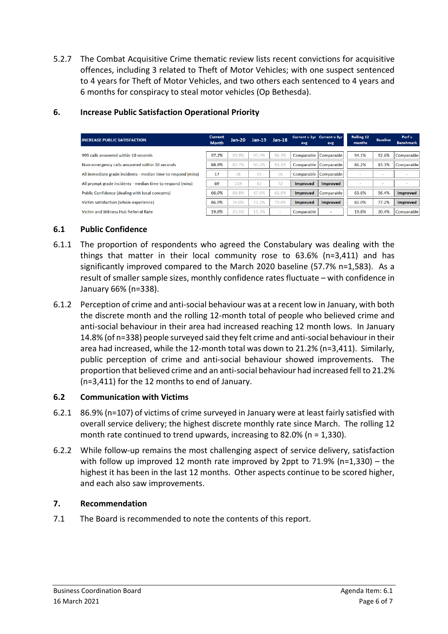5.2.7 The Combat Acquisitive Crime thematic review lists recent convictions for acquisitive offences, including 3 related to Theft of Motor Vehicles; with one suspect sentenced to 4 years for Theft of Motor Vehicles, and two others each sentenced to 4 years and 6 months for conspiracy to steal motor vehicles (Op Bethesda).

| <b>INCREASE PUBLIC SATISFACTION</b>                           | <b>Current</b><br><b>Month</b> | Jan-20 | $Jan-19$ | $Jan-18$ | avg             | Current v 1yr Current v 3yr<br>avg | Rolling 12<br>months | <b>Baseline</b>          | Perf v<br><b>Benchmark</b> |
|---------------------------------------------------------------|--------------------------------|--------|----------|----------|-----------------|------------------------------------|----------------------|--------------------------|----------------------------|
| 999 calls answered within 10 seconds                          | 97.2%                          | 93.9%  | 95.4%    | 96.3%    |                 | Comparable Comparable              | 94.1%                | 92.6%                    | Comparable                 |
| Non-emergency calls answered within 30 seconds                | 88.9%                          | 83.7%  | 90.2%    | 93.1%    |                 | Comparable Comparable              | 86.2%                | 83.3%                    | Comparable                 |
| All immediate grade incidents - median time to respond (mins) | 17                             | 18     | 15       | 16       |                 | Comparable Comparable              |                      | $\overline{\phantom{a}}$ |                            |
| All prompt grade incidents - median time to respond (mins)    | 69                             | 119    | 83       | 72       | <b>Improved</b> | <b>Improved</b>                    |                      | -                        |                            |
| Public Confidence (dealing with local concerns)               | 66.0%                          | 60.8%  | 67.6%    | 62.6%    | <b>Improved</b> | Comparable                         | 63.6%                | 56.4%                    | <b>Improved</b>            |
| Victim satisfaction (whole experience)                        | 86.9%                          | 74.0%  | 73.2%    | 79.8%    | <b>Improved</b> | <b>Improved</b>                    | 82.0%                | 77.2%                    | <b>Improved</b>            |
| Victim and Witness Hub Referral Rate                          | 19.8%                          | 23.5%  | 11.3%    | $\sim$   | Comparable      | ٠                                  | 19.8%                | 20.4%                    | Comparable                 |

## **6. Increase Public Satisfaction Operational Priority**

# **6.1 Public Confidence**

- 6.1.1 The proportion of respondents who agreed the Constabulary was dealing with the things that matter in their local community rose to 63.6% (n=3,411) and has significantly improved compared to the March 2020 baseline (57.7% n=1,583). As a result of smaller sample sizes, monthly confidence rates fluctuate – with confidence in January 66% (n=338).
- 6.1.2 Perception of crime and anti-social behaviour was at a recent low in January, with both the discrete month and the rolling 12-month total of people who believed crime and anti-social behaviour in their area had increased reaching 12 month lows. In January 14.8% (of n=338) people surveyed said they felt crime and anti-social behaviour in their area had increased, while the 12-month total was down to 21.2% (n=3,411). Similarly, public perception of crime and anti-social behaviour showed improvements. The proportion that believed crime and an anti-social behaviour had increased fell to 21.2% (n=3,411) for the 12 months to end of January.

### **6.2 Communication with Victims**

- 6.2.1 86.9% (n=107) of victims of crime surveyed in January were at least fairly satisfied with overall service delivery; the highest discrete monthly rate since March. The rolling 12 month rate continued to trend upwards, increasing to 82.0% (n = 1,330).
- 6.2.2 While follow-up remains the most challenging aspect of service delivery, satisfaction with follow up improved 12 month rate improved by 2ppt to  $71.9\%$  (n=1,330) – the highest it has been in the last 12 months. Other aspects continue to be scored higher, and each also saw improvements.

### **7. Recommendation**

7.1 The Board is recommended to note the contents of this report.